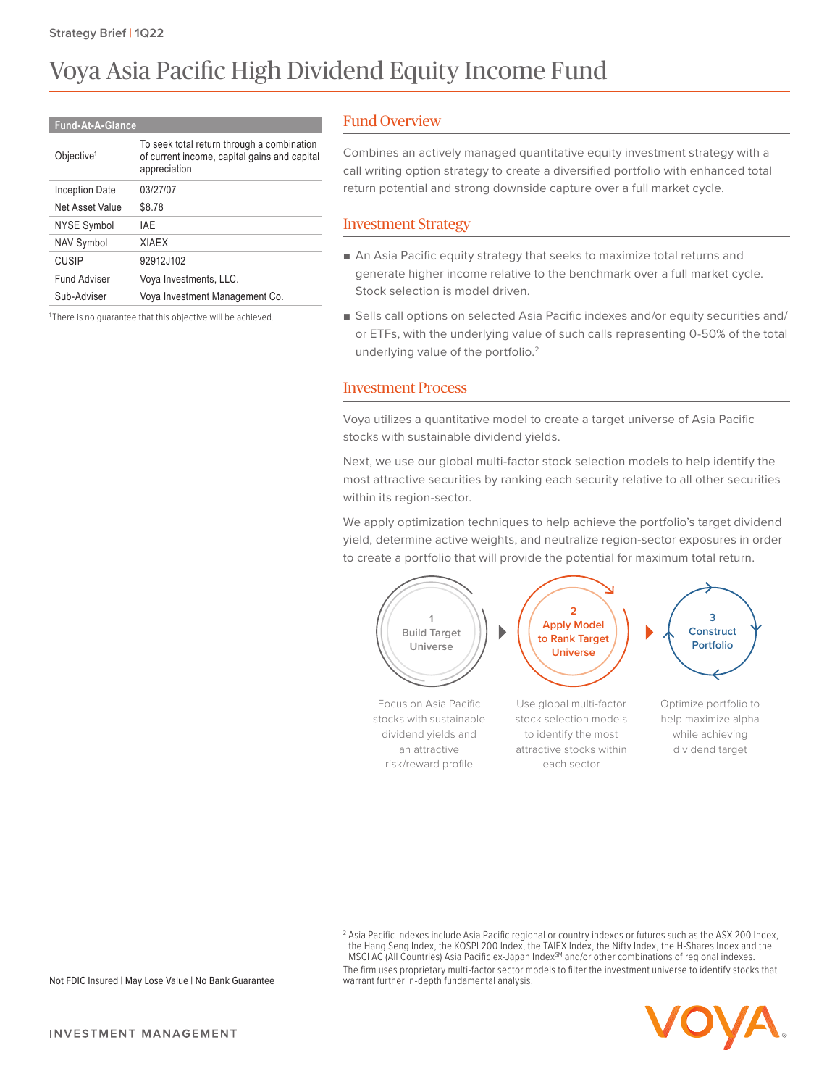# Voya Asia Pacific High Dividend Equity Income Fund

#### **Fund-At-A-Glance**

| To seek total return through a combination<br>of current income, capital gains and capital<br>appreciation |
|------------------------------------------------------------------------------------------------------------|
| 03/27/07                                                                                                   |
| \$8.78                                                                                                     |
| IAF                                                                                                        |
| <b>XIAFX</b>                                                                                               |
| 92912J102                                                                                                  |
| Voya Investments, LLC.                                                                                     |
| Voya Investment Management Co.                                                                             |
|                                                                                                            |

<sup>1</sup>There is no guarantee that this objective will be achieved.

# Fund Overview

Combines an actively managed quantitative equity investment strategy with a call writing option strategy to create a diversified portfolio with enhanced total return potential and strong downside capture over a full market cycle.

#### Investment Strategy

- An Asia Pacific equity strategy that seeks to maximize total returns and generate higher income relative to the benchmark over a full market cycle. Stock selection is model driven.
- Sells call options on selected Asia Pacific indexes and/or equity securities and/ or ETFs, with the underlying value of such calls representing 0-50% of the total underlying value of the portfolio.<sup>2</sup>

# Investment Process

Voya utilizes a quantitative model to create a target universe of Asia Pacific stocks with sustainable dividend yields.

Next, we use our global multi-factor stock selection models to help identify the most attractive securities by ranking each security relative to all other securities within its region-sector.

We apply optimization techniques to help achieve the portfolio's target dividend yield, determine active weights, and neutralize region-sector exposures in order to create a portfolio that will provide the potential for maximum total return.



2 Asia Pacific Indexes include Asia Pacific regional or country indexes or futures such as the ASX 200 Index, the Hang Seng Index, the KOSPI 200 Index, the TAIEX Index, the Nifty Index, the H-Shares Index and the MSCI AC (All Countries) Asia Pacific ex-Japan Index<sup>SM</sup> and/or other combinations of regional indexes. The firm uses proprietary multi-factor sector models to filter the investment universe to identify stocks that warrant further in-depth fundamental analysis.



Not FDIC Insured | May Lose Value | No Bank Guarantee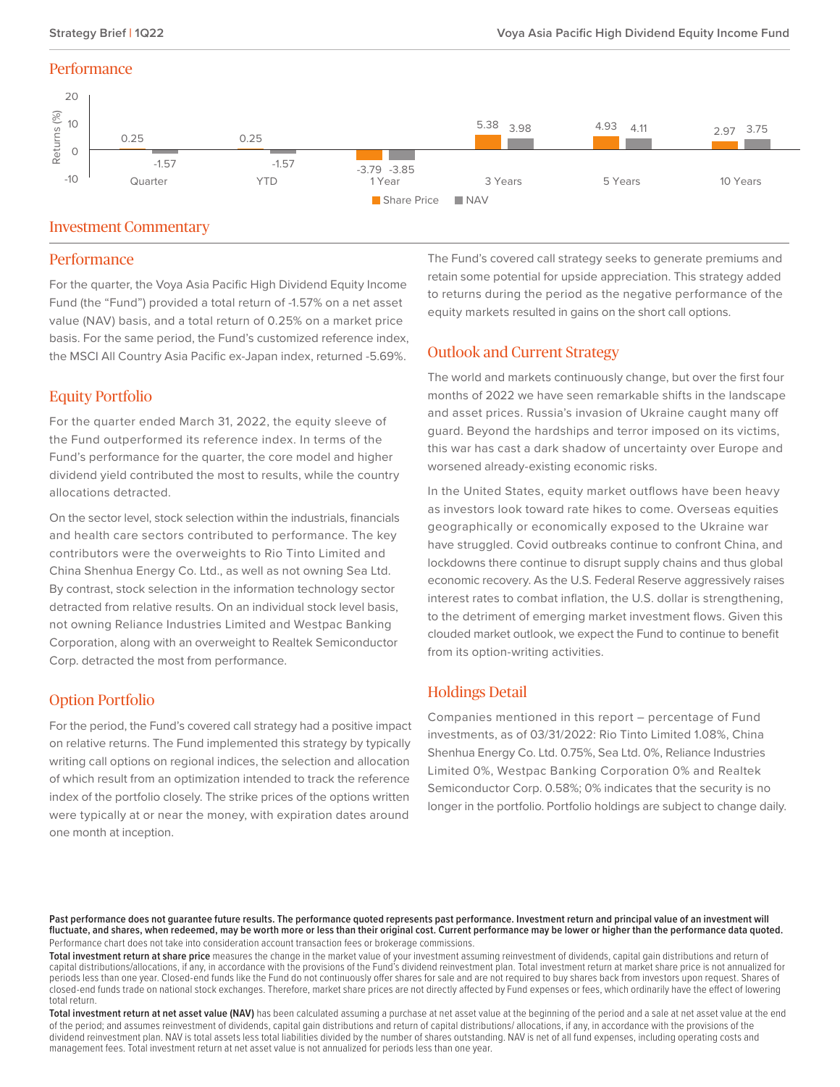### **Performance**



## Investment Commentary

#### **Performance**

For the quarter, the Voya Asia Pacific High Dividend Equity Income Fund (the "Fund") provided a total return of -1.57% on a net asset value (NAV) basis, and a total return of 0.25% on a market price basis. For the same period, the Fund's customized reference index, the MSCI All Country Asia Pacific ex-Japan index, returned -5.69%.

# Equity Portfolio

For the quarter ended March 31, 2022, the equity sleeve of the Fund outperformed its reference index. In terms of the Fund's performance for the quarter, the core model and higher dividend yield contributed the most to results, while the country allocations detracted.

On the sector level, stock selection within the industrials, financials and health care sectors contributed to performance. The key contributors were the overweights to Rio Tinto Limited and China Shenhua Energy Co. Ltd., as well as not owning Sea Ltd. By contrast, stock selection in the information technology sector detracted from relative results. On an individual stock level basis, not owning Reliance Industries Limited and Westpac Banking Corporation, along with an overweight to Realtek Semiconductor Corp. detracted the most from performance.

# Option Portfolio

For the period, the Fund's covered call strategy had a positive impact on relative returns. The Fund implemented this strategy by typically writing call options on regional indices, the selection and allocation of which result from an optimization intended to track the reference index of the portfolio closely. The strike prices of the options written were typically at or near the money, with expiration dates around one month at inception.

The Fund's covered call strategy seeks to generate premiums and retain some potential for upside appreciation. This strategy added to returns during the period as the negative performance of the equity markets resulted in gains on the short call options.

# Outlook and Current Strategy

The world and markets continuously change, but over the first four months of 2022 we have seen remarkable shifts in the landscape and asset prices. Russia's invasion of Ukraine caught many off guard. Beyond the hardships and terror imposed on its victims, this war has cast a dark shadow of uncertainty over Europe and worsened already-existing economic risks.

In the United States, equity market outflows have been heavy as investors look toward rate hikes to come. Overseas equities geographically or economically exposed to the Ukraine war have struggled. Covid outbreaks continue to confront China, and lockdowns there continue to disrupt supply chains and thus global economic recovery. As the U.S. Federal Reserve aggressively raises interest rates to combat inflation, the U.S. dollar is strengthening, to the detriment of emerging market investment flows. Given this clouded market outlook, we expect the Fund to continue to benefit from its option-writing activities.

# Holdings Detail

Companies mentioned in this report – percentage of Fund investments, as of 03/31/2022: Rio Tinto Limited 1.08%, China Shenhua Energy Co. Ltd. 0.75%, Sea Ltd. 0%, Reliance Industries Limited 0%, Westpac Banking Corporation 0% and Realtek Semiconductor Corp. 0.58%; 0% indicates that the security is no longer in the portfolio. Portfolio holdings are subject to change daily.

Past performance does not guarantee future results. The performance quoted represents past performance. Investment return and principal value of an investment will **fluctuate, and shares, when redeemed, may be worth more or less than their original cost. Current performance may be lower or higher than the performance data quoted.** Performance chart does not take into consideration account transaction fees or brokerage commissions.

**Total investment return at share price** measures the change in the market value of your investment assuming reinvestment of dividends, capital gain distributions and return of capital distributions/allocations, if any, in accordance with the provisions of the Fund's dividend reinvestment plan. Total investment return at market share price is not annualized for periods less than one year. Closed-end funds like the Fund do not continuously offer shares for sale and are not required to buy shares back from investors upon request. Shares of closed-end funds trade on national stock exchanges. Therefore, market share prices are not directly affected by Fund expenses or fees, which ordinarily have the effect of lowering total return.

Total investment return at net asset value (NAV) has been calculated assuming a purchase at net asset value at the beginning of the period and a sale at net asset value at the end of the period; and assumes reinvestment of dividends, capital gain distributions and return of capital distributions/ allocations, if any, in accordance with the provisions of the dividend reinvestment plan. NAV is total assets less total liabilities divided by the number of shares outstanding. NAV is net of all fund expenses, including operating costs and management fees. Total investment return at net asset value is not annualized for periods less than one year.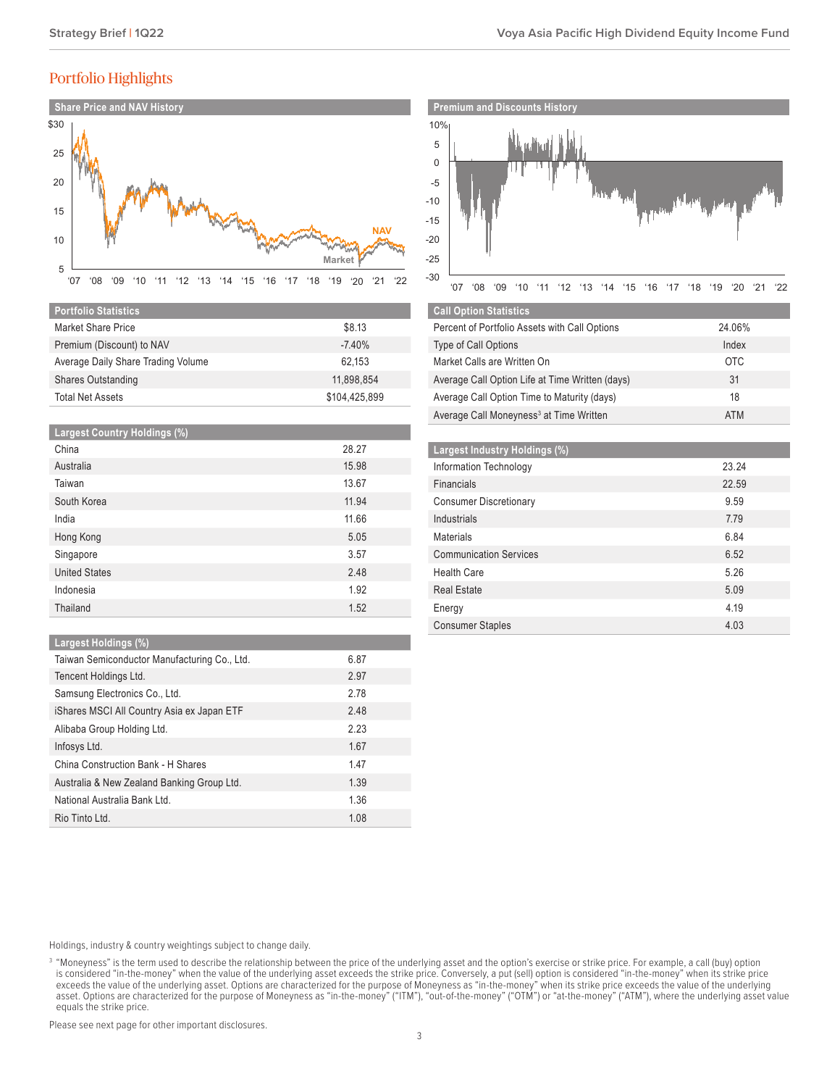# Portfolio Highlights



| <b>Portfolio Statistics</b>        |               |
|------------------------------------|---------------|
| Market Share Price                 | \$8.13        |
| Premium (Discount) to NAV          | $-7.40%$      |
| Average Daily Share Trading Volume | 62.153        |
| <b>Shares Outstanding</b>          | 11.898.854    |
| <b>Total Net Assets</b>            | \$104.425.899 |

| <b>Largest Country Holdings (%)</b> |       |
|-------------------------------------|-------|
| China                               | 28.27 |
| Australia                           | 15.98 |
| Taiwan                              | 13.67 |
| South Korea                         | 11.94 |
| India                               | 11.66 |
| Hong Kong                           | 5.05  |
| Singapore                           | 3.57  |
| <b>United States</b>                | 2.48  |
| Indonesia                           | 1.92  |
| Thailand                            | 1.52  |

#### **Largest Holdings (%)**

| Taiwan Semiconductor Manufacturing Co., Ltd. | 6.87 |
|----------------------------------------------|------|
| Tencent Holdings Ltd.                        | 2.97 |
| Samsung Electronics Co., Ltd.                | 2.78 |
| iShares MSCI All Country Asia ex Japan ETF   | 2.48 |
| Alibaba Group Holding Ltd.                   | 2.23 |
| Infosys Ltd.                                 | 1.67 |
| China Construction Bank - H Shares           | 1.47 |
| Australia & New Zealand Banking Group Ltd.   | 1.39 |
| National Australia Bank Ltd.                 | 1.36 |
| Rio Tinto Ltd.                               | 1.08 |

#### Holdings, industry & country weightings subject to change daily.

<sup>3</sup> "Moneyness" is the term used to describe the relationship between the price of the underlying asset and the option's exercise or strike price. For example, a call (buy) option is considered "in-the-money" when the value of the underlying asset exceeds the strike price. Conversely, a put (sell) option is considered "in-the-money" when its strike price exceeds the value of the underlying asset. Options are characterized for the purpose of Moneyness as "in-the-money" when its strike price exceeds the value of the underlying asset. Options are characterized for the purpose of Moneyness as "in-the-money" ("ITM"), "out-of-the-money" ("OTM") or "at-the-money" ("ATM"), where the underlying asset value equals the strike price.

Please see next page for other important disclosures.



| <b>Call Option Statistics</b>                       |            |
|-----------------------------------------------------|------------|
| Percent of Portfolio Assets with Call Options       | 24.06%     |
| <b>Type of Call Options</b>                         | Index      |
| Market Calls are Written On                         | <b>OTC</b> |
| Average Call Option Life at Time Written (days)     | 31         |
| Average Call Option Time to Maturity (days)         | 18         |
| Average Call Moneyness <sup>3</sup> at Time Written | <b>ATM</b> |

| Largest Industry Holdings (%) |       |
|-------------------------------|-------|
| Information Technology        | 23.24 |
| <b>Financials</b>             | 22.59 |
| <b>Consumer Discretionary</b> | 9.59  |
| Industrials                   | 7.79  |
| Materials                     | 6.84  |
| <b>Communication Services</b> | 6.52  |
| <b>Health Care</b>            | 5.26  |
| <b>Real Estate</b>            | 5.09  |
| Energy                        | 4.19  |
| <b>Consumer Staples</b>       | 4.03  |